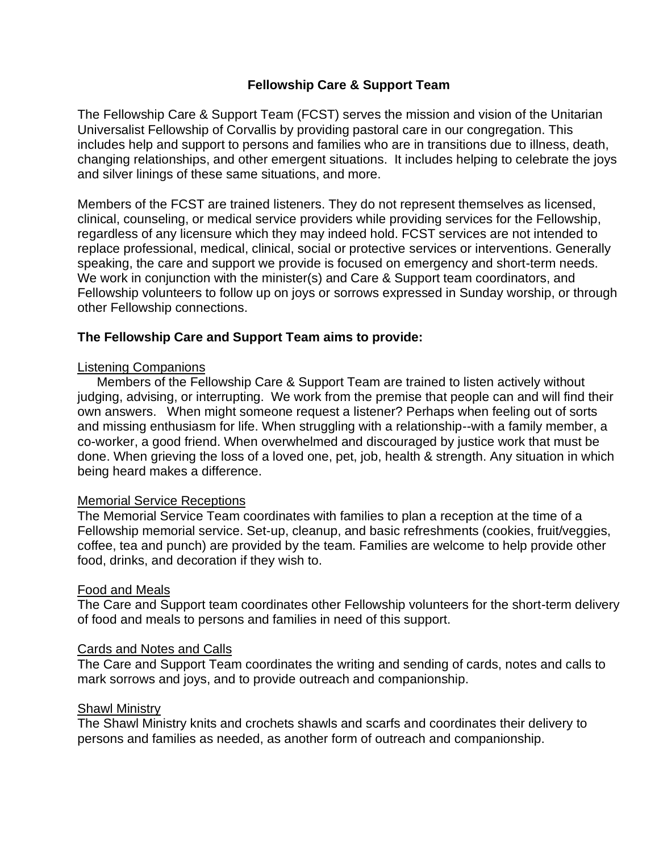# **Fellowship Care & Support Team**

The Fellowship Care & Support Team (FCST) serves the mission and vision of the Unitarian Universalist Fellowship of Corvallis by providing pastoral care in our congregation. This includes help and support to persons and families who are in transitions due to illness, death, changing relationships, and other emergent situations. It includes helping to celebrate the joys and silver linings of these same situations, and more.

Members of the FCST are trained listeners. They do not represent themselves as licensed, clinical, counseling, or medical service providers while providing services for the Fellowship, regardless of any licensure which they may indeed hold. FCST services are not intended to replace professional, medical, clinical, social or protective services or interventions. Generally speaking, the care and support we provide is focused on emergency and short-term needs. We work in conjunction with the minister(s) and Care & Support team coordinators, and Fellowship volunteers to follow up on joys or sorrows expressed in Sunday worship, or through other Fellowship connections.

# **The Fellowship Care and Support Team aims to provide:**

### Listening Companions

Members of the Fellowship Care & Support Team are trained to listen actively without judging, advising, or interrupting. We work from the premise that people can and will find their own answers. When might someone request a listener? Perhaps when feeling out of sorts and missing enthusiasm for life. When struggling with a relationship--with a family member, a co-worker, a good friend. When overwhelmed and discouraged by justice work that must be done. When grieving the loss of a loved one, pet, job, health & strength. Any situation in which being heard makes a difference.

## Memorial Service Receptions

The Memorial Service Team coordinates with families to plan a reception at the time of a Fellowship memorial service. Set-up, cleanup, and basic refreshments (cookies, fruit/veggies, coffee, tea and punch) are provided by the team. Families are welcome to help provide other food, drinks, and decoration if they wish to.

## Food and Meals

The Care and Support team coordinates other Fellowship volunteers for the short-term delivery of food and meals to persons and families in need of this support.

#### Cards and Notes and Calls

The Care and Support Team coordinates the writing and sending of cards, notes and calls to mark sorrows and joys, and to provide outreach and companionship.

## **Shawl Ministrv**

The Shawl Ministry knits and crochets shawls and scarfs and coordinates their delivery to persons and families as needed, as another form of outreach and companionship.